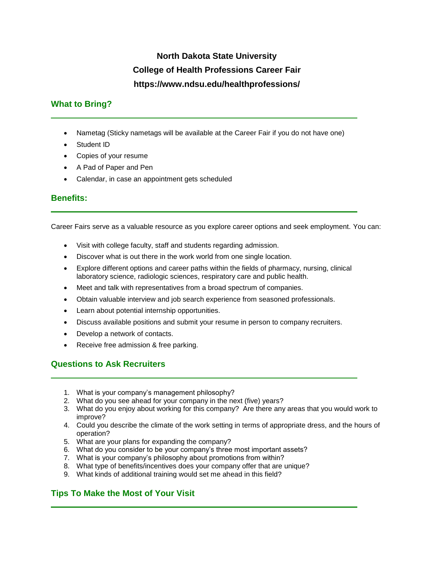# **North Dakota State University College of Health Professions Career Fair https://www.ndsu.edu/healthprofessions/**

## **What to Bring?**

- Nametag (Sticky nametags will be available at the Career Fair if you do not have one)
- Student ID
- Copies of your resume
- A Pad of Paper and Pen
- Calendar, in case an appointment gets scheduled

### **Benefits:**

Career Fairs serve as a valuable resource as you explore career options and seek employment. You can:

- Visit with college faculty, staff and students regarding admission.
- Discover what is out there in the work world from one single location.
- Explore different options and career paths within the fields of pharmacy, nursing, clinical laboratory science, radiologic sciences, respiratory care and public health.
- Meet and talk with representatives from a broad spectrum of companies.
- Obtain valuable interview and job search experience from seasoned professionals.
- Learn about potential internship opportunities.
- Discuss available positions and submit your resume in person to company recruiters.
- Develop a network of contacts.
- Receive free admission & free parking.

### **Questions to Ask Recruiters**

- 1. What is your company's management philosophy?
- 2. What do you see ahead for your company in the next (five) years?
- 3. What do you enjoy about working for this company? Are there any areas that you would work to improve?
- 4. Could you describe the climate of the work setting in terms of appropriate dress, and the hours of operation?
- 5. What are your plans for expanding the company?
- 6. What do you consider to be your company's three most important assets?
- 7. What is your company's philosophy about promotions from within?
- 8. What type of benefits/incentives does your company offer that are unique?
- 9. What kinds of additional training would set me ahead in this field?

### **Tips To Make the Most of Your Visit**